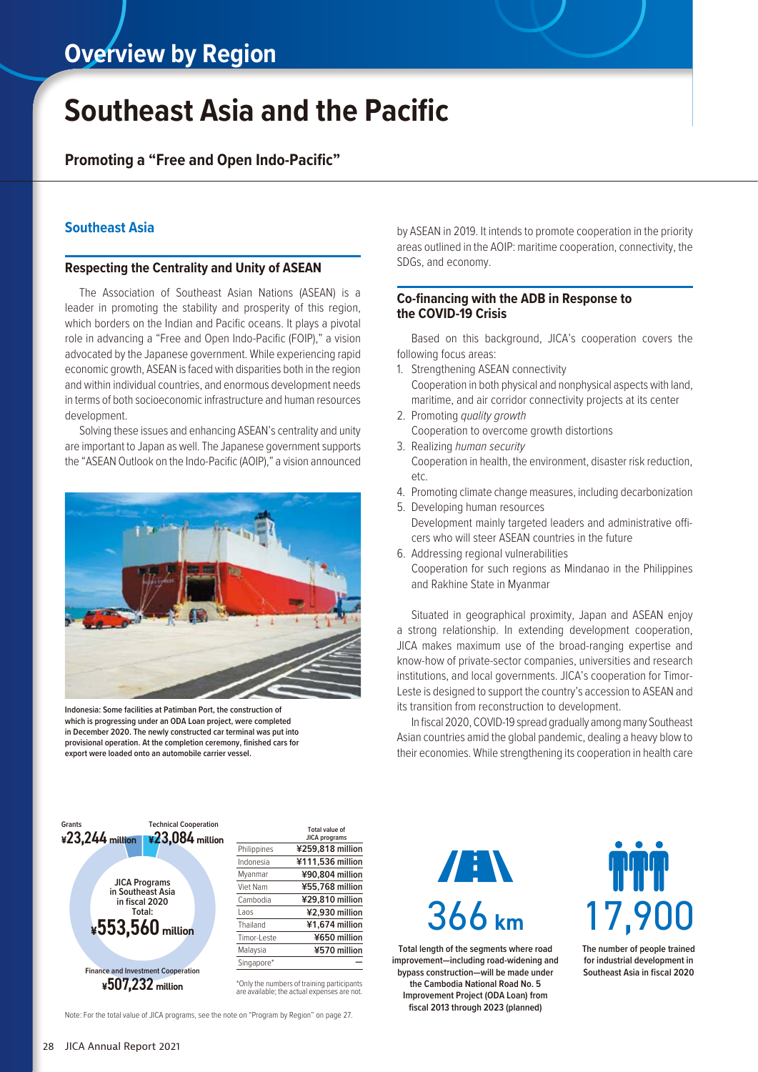## **Overview by Region**

# **Southeast Asia and the Pacific**

**Promoting a "Free and Open Indo-Pacific"**

#### **Southeast Asia**

#### **Respecting the Centrality and Unity of ASEAN**

The Association of Southeast Asian Nations (ASEAN) is a leader in promoting the stability and prosperity of this region, which borders on the Indian and Pacific oceans. It plays a pivotal role in advancing a "Free and Open Indo-Pacific (FOIP)," a vision advocated by the Japanese government. While experiencing rapid economic growth, ASEAN is faced with disparities both in the region and within individual countries, and enormous development needs in terms of both socioeconomic infrastructure and human resources development.

Solving these issues and enhancing ASEAN's centrality and unity are important to Japan as well. The Japanese government supports the "ASEAN Outlook on the Indo-Pacific (AOIP)," a vision announced



**Indonesia: Some facilities at Patimban Port, the construction of which is progressing under an ODA Loan project, were completed in December 2020. The newly constructed car terminal was put into provisional operation. At the completion ceremony, finished cars for export were loaded onto an automobile carrier vessel.**

by ASEAN in 2019. It intends to promote cooperation in the priority areas outlined in the AOIP: maritime cooperation, connectivity, the SDGs, and economy.

#### **Co-financing with the ADB in Response to the COVID-19 Crisis**

Based on this background, JICA's cooperation covers the following focus areas:

- 1. Strengthening ASEAN connectivity Cooperation in both physical and nonphysical aspects with land, maritime, and air corridor connectivity projects at its center
- 2. Promoting *quality growth* Cooperation to overcome growth distortions
- 3. Realizing *human security* Cooperation in health, the environment, disaster risk reduction, etc.
- 4. Promoting climate change measures, including decarbonization
- 5. Developing human resources Development mainly targeted leaders and administrative officers who will steer ASEAN countries in the future
- 6. Addressing regional vulnerabilities Cooperation for such regions as Mindanao in the Philippines and Rakhine State in Myanmar

Situated in geographical proximity, Japan and ASEAN enjoy a strong relationship. In extending development cooperation, JICA makes maximum use of the broad-ranging expertise and know-how of private-sector companies, universities and research institutions, and local governments. JICA's cooperation for Timor-Leste is designed to support the country's accession to ASEAN and its transition from reconstruction to development.

In fiscal 2020, COVID-19 spread gradually among many Southeast Asian countries amid the global pandemic, dealing a heavy blow to their economies. While strengthening its cooperation in health care



**Total value of JICA programs** Philippines **¥259,818 million** Indonesia **¥111,536 million** Myanmar **¥90,804 million**<br>Viet Nam **¥55.768 million** ¥55,768 million Cambodia **¥29,810 million** Laos **¥2,930 million** Thailand **¥1,674 million** Timor-Leste **¥650 million** Malaysia **¥570 million** Singapore<sup>\*</sup>

\*Only the numbers of training participants are available; the actual expenses are not.

Note: For the total value of JICA programs, see the note on "Program by Region" on page 27.

**Total length of the segments where road** 

**TEN** 

**improvement—including road-widening and bypass construction—will be made under the Cambodia National Road No. 5 Improvement Project (ODA Loan) from fiscal 2013 through 2023 (planned)**



**The number of people trained for industrial development in Southeast Asia in fiscal 2020**